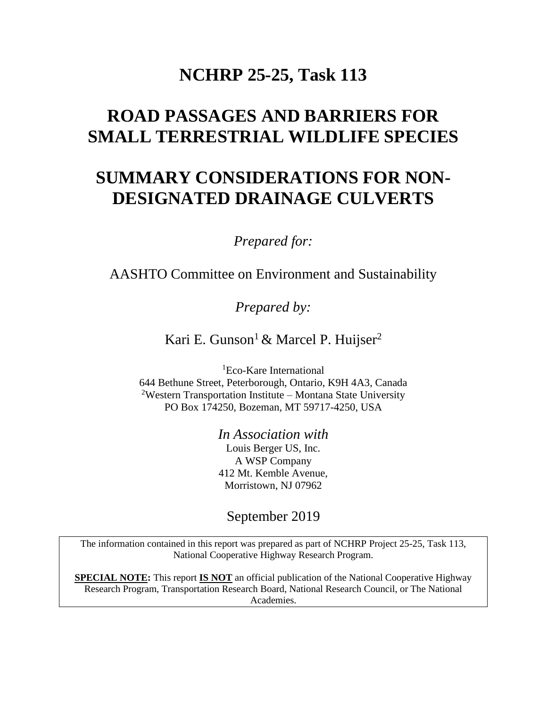## **NCHRP 25-25, Task 113**

# **ROAD PASSAGES AND BARRIERS FOR SMALL TERRESTRIAL WILDLIFE SPECIES**

# **SUMMARY CONSIDERATIONS FOR NON-DESIGNATED DRAINAGE CULVERTS**

*Prepared for:*

AASHTO Committee on Environment and Sustainability

*Prepared by:*

Kari E. Gunson<sup>1</sup> & Marcel P. Huijser<sup>2</sup>

<sup>1</sup>Eco-Kare International 644 Bethune Street, Peterborough, Ontario, K9H 4A3, Canada <sup>2</sup>Western Transportation Institute – Montana State University PO Box 174250, Bozeman, MT 59717-4250, USA

> *In Association with* Louis Berger US, Inc. A WSP Company 412 Mt. Kemble Avenue, Morristown, NJ 07962

September 2019

The information contained in this report was prepared as part of NCHRP Project 25-25, Task 113, National Cooperative Highway Research Program.

**SPECIAL NOTE:** This report **IS NOT** an official publication of the National Cooperative Highway Research Program, Transportation Research Board, National Research Council, or The National Academies.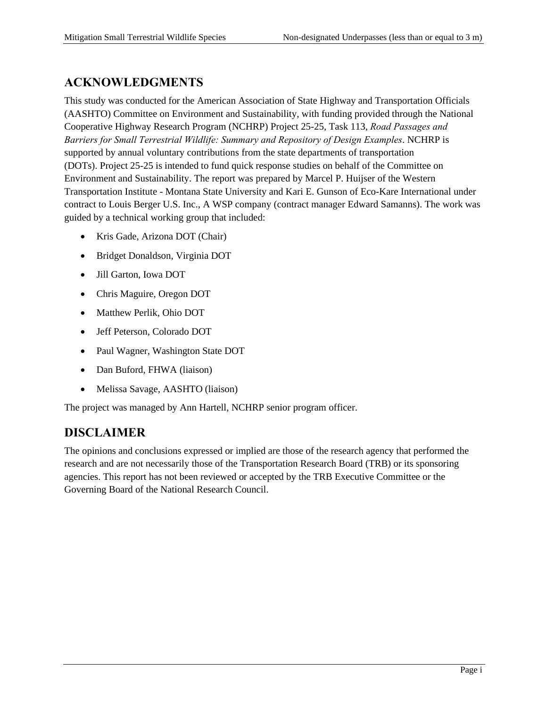## **ACKNOWLEDGMENTS**

This study was conducted for the American Association of State Highway and Transportation Officials (AASHTO) Committee on Environment and Sustainability, with funding provided through the National Cooperative Highway Research Program (NCHRP) Project 25-25, Task 113, *Road Passages and Barriers for Small Terrestrial Wildlife: Summary and Repository of Design Examples*. NCHRP is supported by annual voluntary contributions from the state departments of transportation (DOTs). Project 25-25 is intended to fund quick response studies on behalf of the Committee on Environment and Sustainability. The report was prepared by Marcel P. Huijser of the Western Transportation Institute - Montana State University and Kari E. Gunson of Eco-Kare International under contract to Louis Berger U.S. Inc., A WSP company (contract manager Edward Samanns). The work was guided by a technical working group that included:

- Kris Gade, Arizona DOT (Chair)
- Bridget Donaldson, Virginia DOT
- Jill Garton, Iowa DOT
- Chris Maguire, Oregon DOT
- Matthew Perlik, Ohio DOT
- Jeff Peterson, Colorado DOT
- Paul Wagner, Washington State DOT
- Dan Buford, FHWA (liaison)
- Melissa Savage, AASHTO (liaison)

The project was managed by Ann Hartell, NCHRP senior program officer.

#### **DISCLAIMER**

The opinions and conclusions expressed or implied are those of the research agency that performed the research and are not necessarily those of the Transportation Research Board (TRB) or its sponsoring agencies. This report has not been reviewed or accepted by the TRB Executive Committee or the Governing Board of the National Research Council.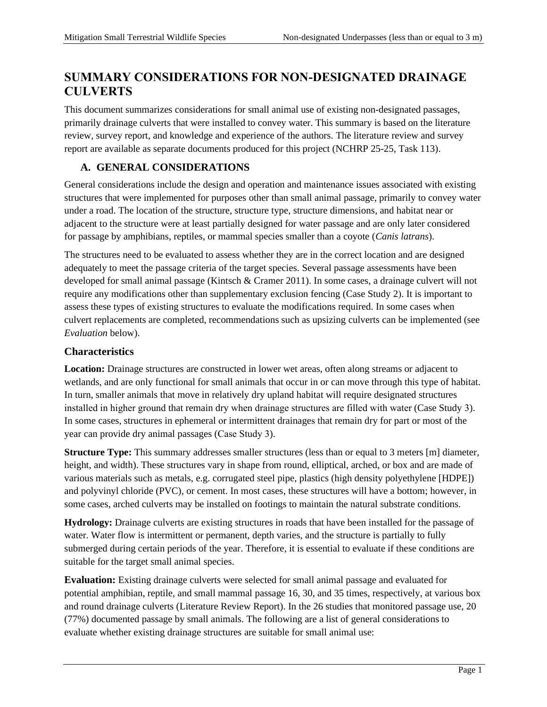### **SUMMARY CONSIDERATIONS FOR NON-DESIGNATED DRAINAGE CULVERTS**

This document summarizes considerations for small animal use of existing non-designated passages, primarily drainage culverts that were installed to convey water. This summary is based on the literature review, survey report, and knowledge and experience of the authors. The literature review and survey report are available as separate documents produced for this project (NCHRP 25-25, Task 113).

#### **A. GENERAL CONSIDERATIONS**

General considerations include the design and operation and maintenance issues associated with existing structures that were implemented for purposes other than small animal passage, primarily to convey water under a road. The location of the structure, structure type, structure dimensions, and habitat near or adjacent to the structure were at least partially designed for water passage and are only later considered for passage by amphibians, reptiles, or mammal species smaller than a coyote (*Canis latrans*).

The structures need to be evaluated to assess whether they are in the correct location and are designed adequately to meet the passage criteria of the target species. Several passage assessments have been developed for small animal passage (Kintsch & Cramer 2011). In some cases, a drainage culvert will not require any modifications other than supplementary exclusion fencing (Case Study 2). It is important to assess these types of existing structures to evaluate the modifications required. In some cases when culvert replacements are completed, recommendations such as upsizing culverts can be implemented (see *Evaluation* below).

#### **Characteristics**

**Location:** Drainage structures are constructed in lower wet areas, often along streams or adjacent to wetlands, and are only functional for small animals that occur in or can move through this type of habitat. In turn, smaller animals that move in relatively dry upland habitat will require designated structures installed in higher ground that remain dry when drainage structures are filled with water (Case Study 3). In some cases, structures in ephemeral or intermittent drainages that remain dry for part or most of the year can provide dry animal passages (Case Study 3).

**Structure Type:** This summary addresses smaller structures (less than or equal to 3 meters [m] diameter, height, and width). These structures vary in shape from round, elliptical, arched, or box and are made of various materials such as metals, e.g. corrugated steel pipe, plastics (high density polyethylene [HDPE]) and polyvinyl chloride (PVC), or cement. In most cases, these structures will have a bottom; however, in some cases, arched culverts may be installed on footings to maintain the natural substrate conditions.

**Hydrology:** Drainage culverts are existing structures in roads that have been installed for the passage of water. Water flow is intermittent or permanent, depth varies, and the structure is partially to fully submerged during certain periods of the year. Therefore, it is essential to evaluate if these conditions are suitable for the target small animal species.

**Evaluation:** Existing drainage culverts were selected for small animal passage and evaluated for potential amphibian, reptile, and small mammal passage 16, 30, and 35 times, respectively, at various box and round drainage culverts (Literature Review Report). In the 26 studies that monitored passage use, 20 (77%) documented passage by small animals. The following are a list of general considerations to evaluate whether existing drainage structures are suitable for small animal use: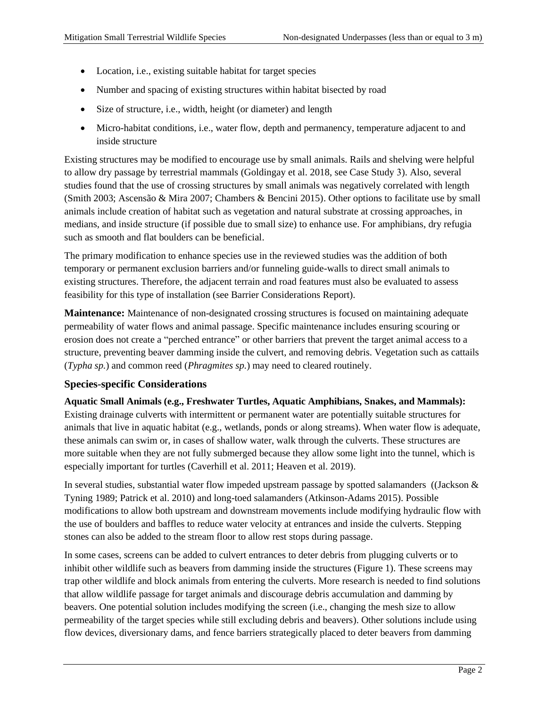- Location, i.e., existing suitable habitat for target species
- Number and spacing of existing structures within habitat bisected by road
- Size of structure, i.e., width, height (or diameter) and length
- Micro-habitat conditions, i.e., water flow, depth and permanency, temperature adjacent to and inside structure

Existing structures may be modified to encourage use by small animals. Rails and shelving were helpful to allow dry passage by terrestrial mammals (Goldingay et al. 2018, see Case Study 3). Also, several studies found that the use of crossing structures by small animals was negatively correlated with length (Smith 2003; Ascensão & Mira 2007; Chambers & Bencini 2015). Other options to facilitate use by small animals include creation of habitat such as vegetation and natural substrate at crossing approaches, in medians, and inside structure (if possible due to small size) to enhance use. For amphibians, dry refugia such as smooth and flat boulders can be beneficial.

The primary modification to enhance species use in the reviewed studies was the addition of both temporary or permanent exclusion barriers and/or funneling guide-walls to direct small animals to existing structures. Therefore, the adjacent terrain and road features must also be evaluated to assess feasibility for this type of installation (see Barrier Considerations Report).

**Maintenance:** Maintenance of non-designated crossing structures is focused on maintaining adequate permeability of water flows and animal passage. Specific maintenance includes ensuring scouring or erosion does not create a "perched entrance" or other barriers that prevent the target animal access to a structure, preventing beaver damming inside the culvert, and removing debris. Vegetation such as cattails (*Typha sp.*) and common reed (*Phragmites sp.*) may need to cleared routinely.

#### **Species-specific Considerations**

**Aquatic Small Animals (e.g., Freshwater Turtles, Aquatic Amphibians, Snakes, and Mammals):** Existing drainage culverts with intermittent or permanent water are potentially suitable structures for animals that live in aquatic habitat (e.g., wetlands, ponds or along streams). When water flow is adequate, these animals can swim or, in cases of shallow water, walk through the culverts. These structures are more suitable when they are not fully submerged because they allow some light into the tunnel, which is especially important for turtles (Caverhill et al. 2011; Heaven et al. 2019).

In several studies, substantial water flow impeded upstream passage by spotted salamanders ((Jackson & Tyning 1989; Patrick et al. 2010) and long-toed salamanders (Atkinson-Adams 2015). Possible modifications to allow both upstream and downstream movements include modifying hydraulic flow with the use of boulders and baffles to reduce water velocity at entrances and inside the culverts. Stepping stones can also be added to the stream floor to allow rest stops during passage.

In some cases, screens can be added to culvert entrances to deter debris from plugging culverts or to inhibit other wildlife such as beavers from damming inside the structures (Figure 1). These screens may trap other wildlife and block animals from entering the culverts. More research is needed to find solutions that allow wildlife passage for target animals and discourage debris accumulation and damming by beavers. One potential solution includes modifying the screen (i.e., changing the mesh size to allow permeability of the target species while still excluding debris and beavers). Other solutions include using flow devices, diversionary dams, and fence barriers strategically placed to deter beavers from damming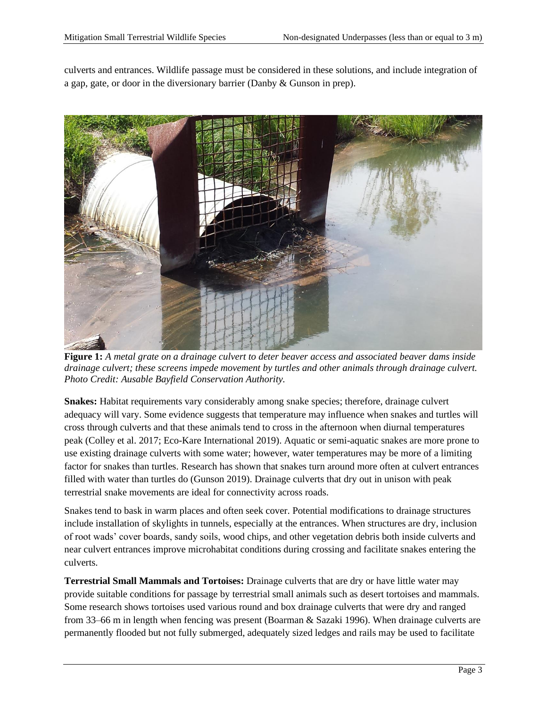culverts and entrances. Wildlife passage must be considered in these solutions, and include integration of a gap, gate, or door in the diversionary barrier (Danby & Gunson in prep).



**Figure 1:** *A metal grate on a drainage culvert to deter beaver access and associated beaver dams inside drainage culvert; these screens impede movement by turtles and other animals through drainage culvert. Photo Credit: Ausable Bayfield Conservation Authority.*

**Snakes:** Habitat requirements vary considerably among snake species; therefore, drainage culvert adequacy will vary. Some evidence suggests that temperature may influence when snakes and turtles will cross through culverts and that these animals tend to cross in the afternoon when diurnal temperatures peak (Colley et al. 2017; Eco-Kare International 2019). Aquatic or semi-aquatic snakes are more prone to use existing drainage culverts with some water; however, water temperatures may be more of a limiting factor for snakes than turtles. Research has shown that snakes turn around more often at culvert entrances filled with water than turtles do (Gunson 2019). Drainage culverts that dry out in unison with peak terrestrial snake movements are ideal for connectivity across roads.

Snakes tend to bask in warm places and often seek cover. Potential modifications to drainage structures include installation of skylights in tunnels, especially at the entrances. When structures are dry, inclusion of root wads' cover boards, sandy soils, wood chips, and other vegetation debris both inside culverts and near culvert entrances improve microhabitat conditions during crossing and facilitate snakes entering the culverts.

**Terrestrial Small Mammals and Tortoises:** Drainage culverts that are dry or have little water may provide suitable conditions for passage by terrestrial small animals such as desert tortoises and mammals. Some research shows tortoises used various round and box drainage culverts that were dry and ranged from 33–66 m in length when fencing was present (Boarman & Sazaki 1996). When drainage culverts are permanently flooded but not fully submerged, adequately sized ledges and rails may be used to facilitate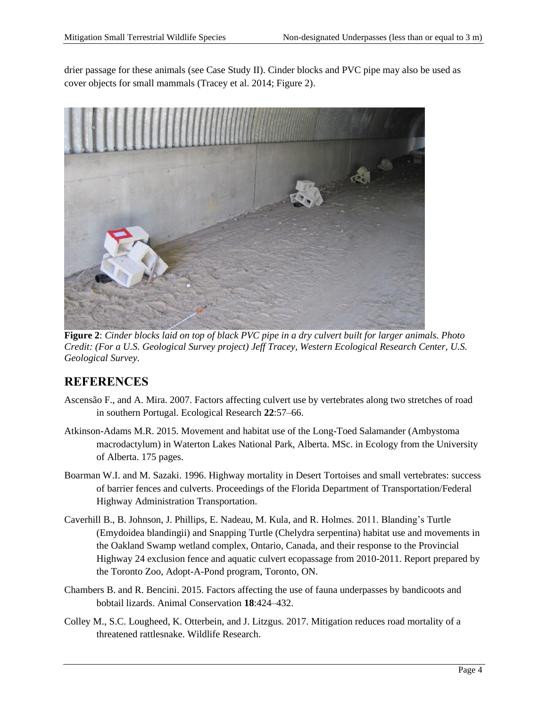drier passage for these animals (see Case Study II). Cinder blocks and PVC pipe may also be used as cover objects for small mammals (Tracey et al. 2014; Figure 2).



**Figure 2**: *Cinder blocks laid on top of black PVC pipe in a dry culvert built for larger animals. Photo Credit: (For a U.S. Geological Survey project) Jeff Tracey, Western Ecological Research Center, U.S. Geological Survey.*

### **REFERENCES**

- Ascensão F., and A. Mira. 2007. Factors affecting culvert use by vertebrates along two stretches of road in southern Portugal. Ecological Research **22**:57–66.
- Atkinson-Adams M.R. 2015. Movement and habitat use of the Long-Toed Salamander (Ambystoma macrodactylum) in Waterton Lakes National Park, Alberta. MSc. in Ecology from the University of Alberta. 175 pages.
- Boarman W.I. and M. Sazaki. 1996. Highway mortality in Desert Tortoises and small vertebrates: success of barrier fences and culverts. Proceedings of the Florida Department of Transportation/Federal Highway Administration Transportation.
- Caverhill B., B. Johnson, J. Phillips, E. Nadeau, M. Kula, and R. Holmes. 2011. Blanding's Turtle (Emydoidea blandingii) and Snapping Turtle (Chelydra serpentina) habitat use and movements in the Oakland Swamp wetland complex, Ontario, Canada, and their response to the Provincial Highway 24 exclusion fence and aquatic culvert ecopassage from 2010-2011. Report prepared by the Toronto Zoo, Adopt-A-Pond program, Toronto, ON.
- Chambers B. and R. Bencini. 2015. Factors affecting the use of fauna underpasses by bandicoots and bobtail lizards. Animal Conservation **18**:424–432.
- Colley M., S.C. Lougheed, K. Otterbein, and J. Litzgus. 2017. Mitigation reduces road mortality of a threatened rattlesnake. Wildlife Research.